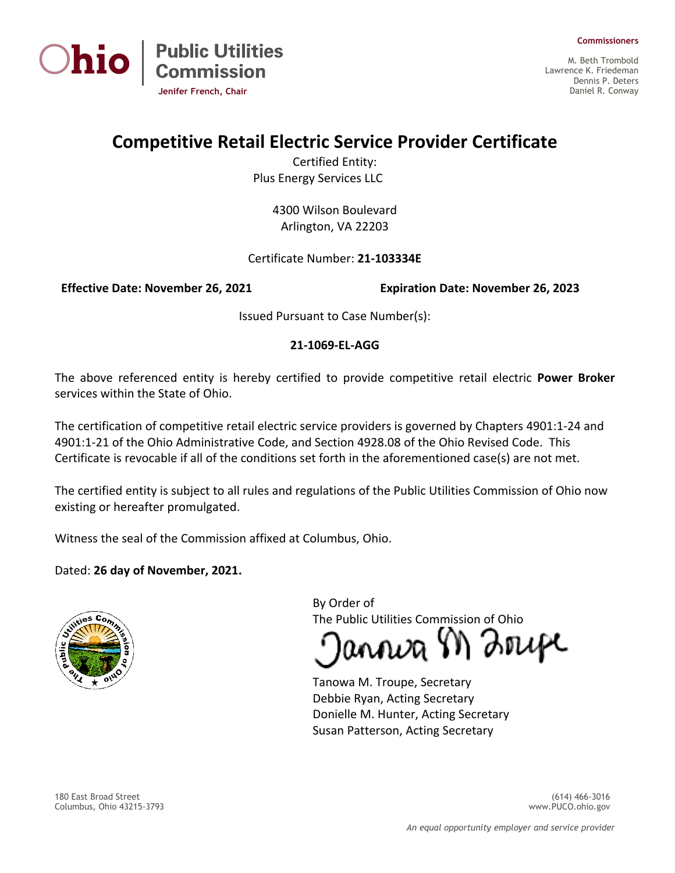



M. Beth Trombold Lawrence K. Friedeman Dennis P. Deters Daniel R. Conway

**Commissioners**

## **Competitive Retail Electric Service Provider Certificate**

Certified Entity: Plus Energy Services LLC

> 4300 Wilson Boulevard Arlington, VA 22203

## Certificate Number: **21-103334E**

**Effective Date: November 26, 2021 Expiration Date: November 26, 2023**

Issued Pursuant to Case Number(s):

## **21-1069-EL-AGG**

The above referenced entity is hereby certified to provide competitive retail electric **Power Broker** services within the State of Ohio.

The certification of competitive retail electric service providers is governed by Chapters 4901:1-24 and 4901:1-21 of the Ohio Administrative Code, and Section 4928.08 of the Ohio Revised Code. This Certificate is revocable if all of the conditions set forth in the aforementioned case(s) are not met.

The certified entity is subject to all rules and regulations of the Public Utilities Commission of Ohio now existing or hereafter promulgated.

Witness the seal of the Commission affixed at Columbus, Ohio.

Dated: **26 day of November, 2021.**



By Order of The Public Utilities Commission of Ohio

annva M Zrupe

Tanowa M. Troupe, Secretary Debbie Ryan, Acting Secretary Donielle M. Hunter, Acting Secretary Susan Patterson, Acting Secretary